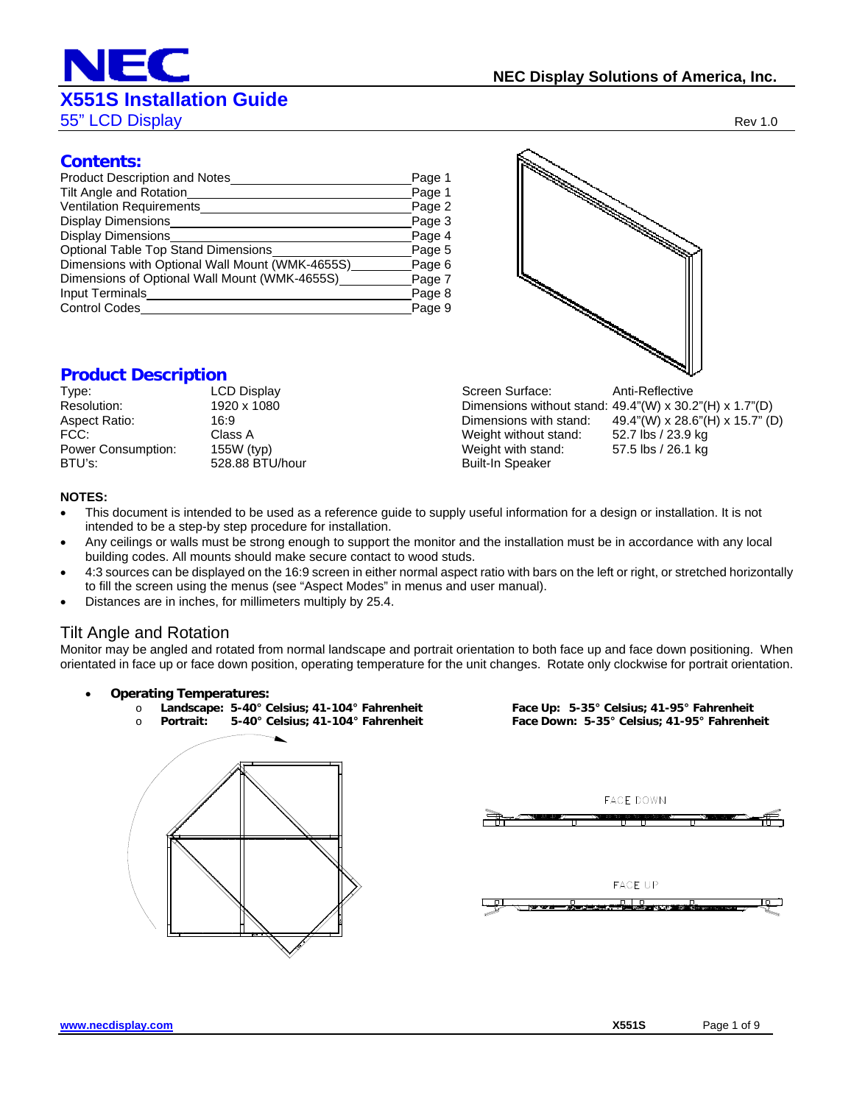# **X551S Installation Guide**

55" LCD Display Rev 1.0

#### **Contents:**

| <b>Product Description and Notes</b>            | Page 1 |
|-------------------------------------------------|--------|
| Tilt Angle and Rotation                         | Page 1 |
| Ventilation Requirements                        | Page 2 |
| Display Dimensions                              | Page 3 |
| <b>Display Dimensions</b>                       | Page 4 |
| Optional Table Top Stand Dimensions             | Page 5 |
| Dimensions with Optional Wall Mount (WMK-4655S) | Page 6 |
| Dimensions of Optional Wall Mount (WMK-4655S)   | Page 7 |
| Input Terminals                                 | Page 8 |
| <b>Control Codes</b>                            | Page 9 |

### **Product Description**

| Type:                     | LC |
|---------------------------|----|
| Resolution:               | 19 |
| Aspect Ratio:             | 16 |
| FCC:                      | СI |
| <b>Power Consumption:</b> | 15 |
| BTU's:                    | 52 |
|                           |    |



 $\frac{1500 \text{ (typ)}}{5500 \text{ (typ)}}$  Weight with stand:  $\frac{57.5 \text{ lbs}}{26.1 \text{ kg}}$ 28.88 BTU/hour Built-In Speaker

#### **NOTES:**

- This document is intended to be used as a reference guide to supply useful information for a design or installation. It is not intended to be a step-by step procedure for installation.
- Any ceilings or walls must be strong enough to support the monitor and the installation must be in accordance with any local building codes. All mounts should make secure contact to wood studs.
- 4:3 sources can be displayed on the 16:9 screen in either normal aspect ratio with bars on the left or right, or stretched horizontally to fill the screen using the menus (see "Aspect Modes" in menus and user manual).
- Distances are in inches, for millimeters multiply by 25.4.

#### Tilt Angle and Rotation

Monitor may be angled and rotated from normal landscape and portrait orientation to both face up and face down positioning. When orientated in face up or face down position, operating temperature for the unit changes. Rotate only clockwise for portrait orientation.

**Operating Temperatures:** 

o **Landscape: 5-40° Celsius; 41-104° Fahrenheit Face Up: 5-35° Celsius; 41-95° Fahrenheit**  o **Portrait: 5-40° Celsius; 41-104° Fahrenheit Face Down: 5-35° Celsius; 41-95° Fahrenheit** 

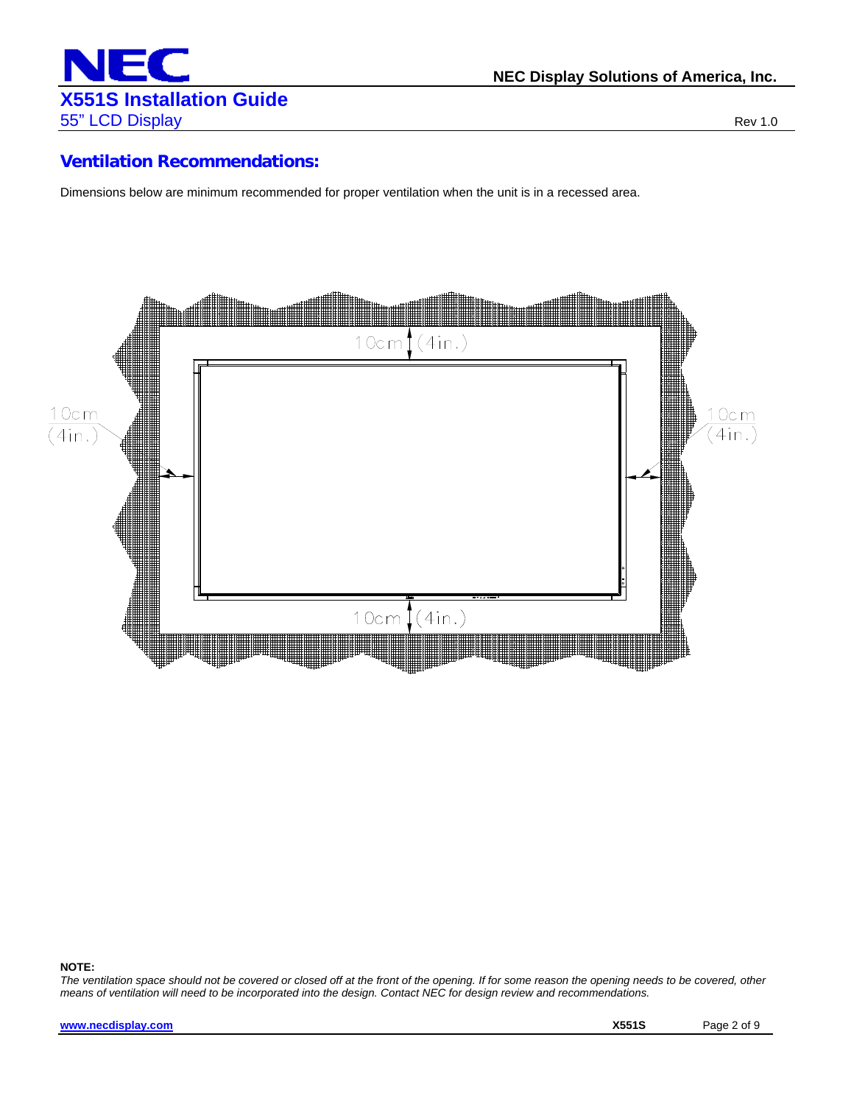

#### **Ventilation Recommendations:**

Dimensions below are minimum recommended for proper ventilation when the unit is in a recessed area.



#### **NOTE:**

*The ventilation space should not be covered or closed off at the front of the opening. If for some reason the opening needs to be covered, other means of ventilation will need to be incorporated into the design. Contact NEC for design review and recommendations.*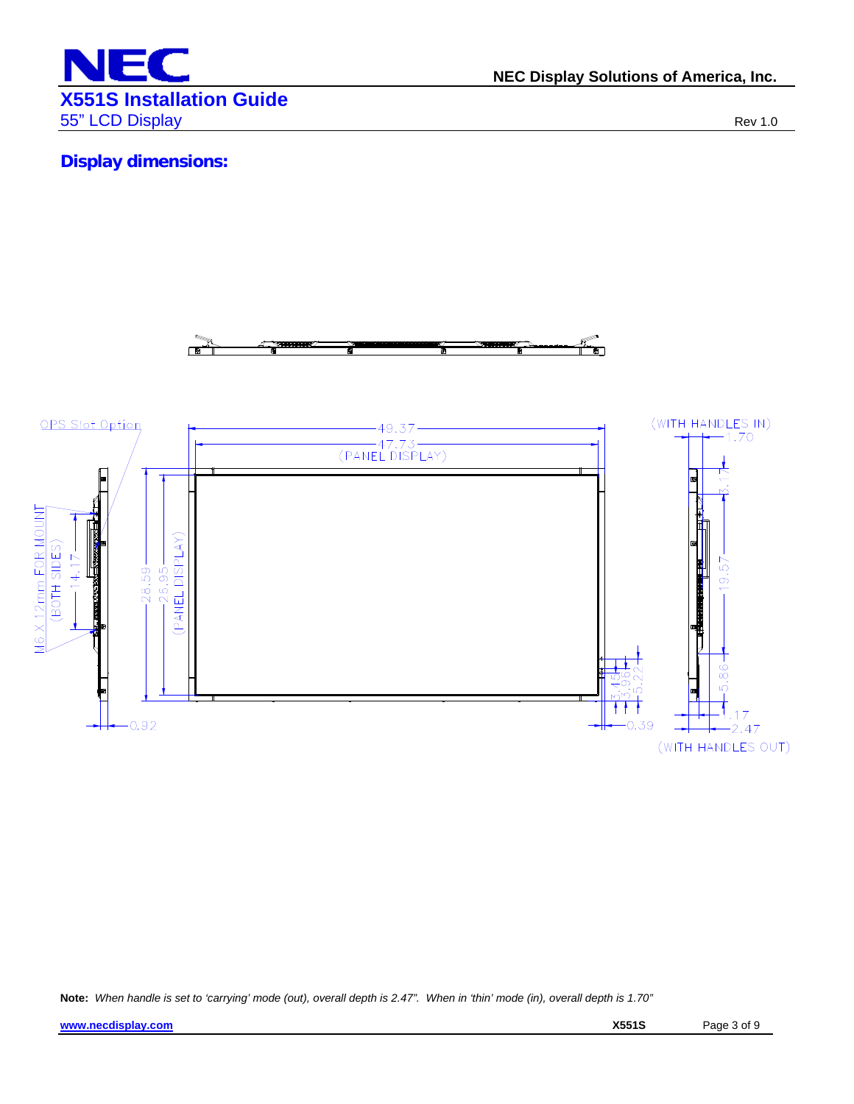

**NEC Display Solutions of America, Inc.**

# **Display dimensions:**



**Note:** *When handle is set to 'carrying' mode (out), overall depth is 2.47". When in 'thin' mode (in), overall depth is 1.70"*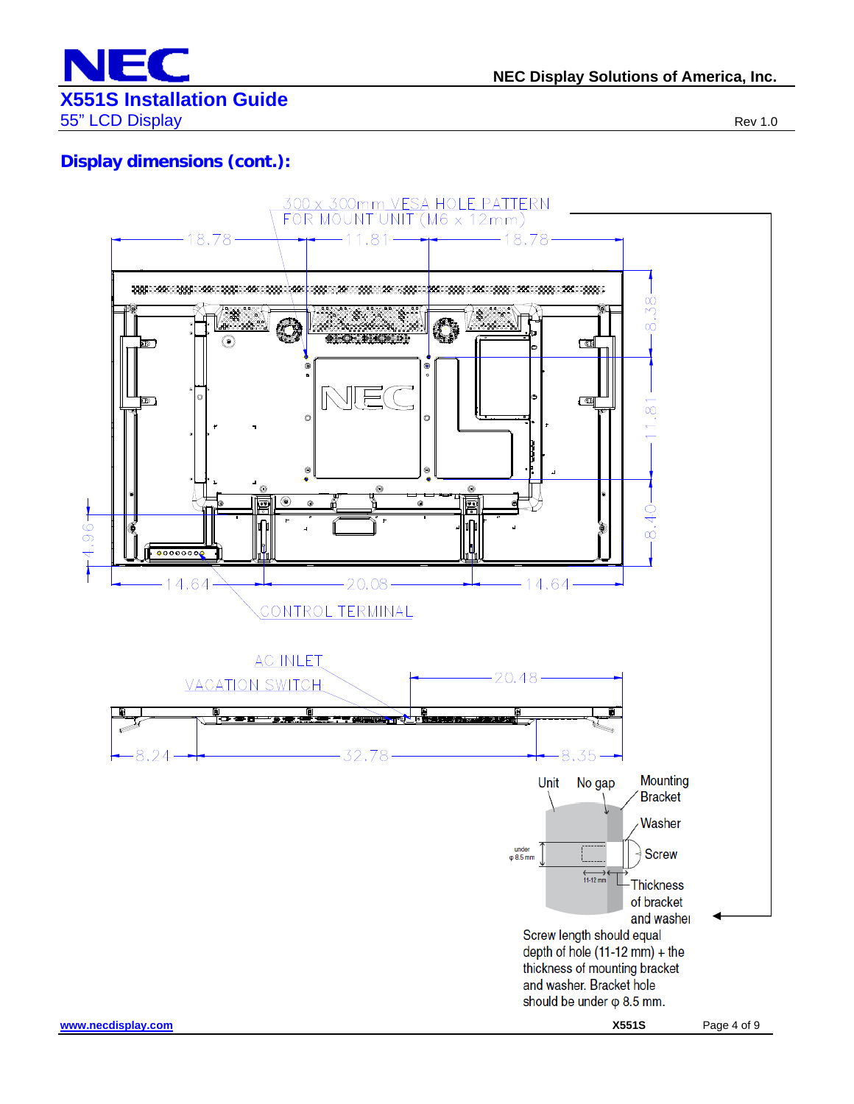

# **Display dimensions (cont.):**

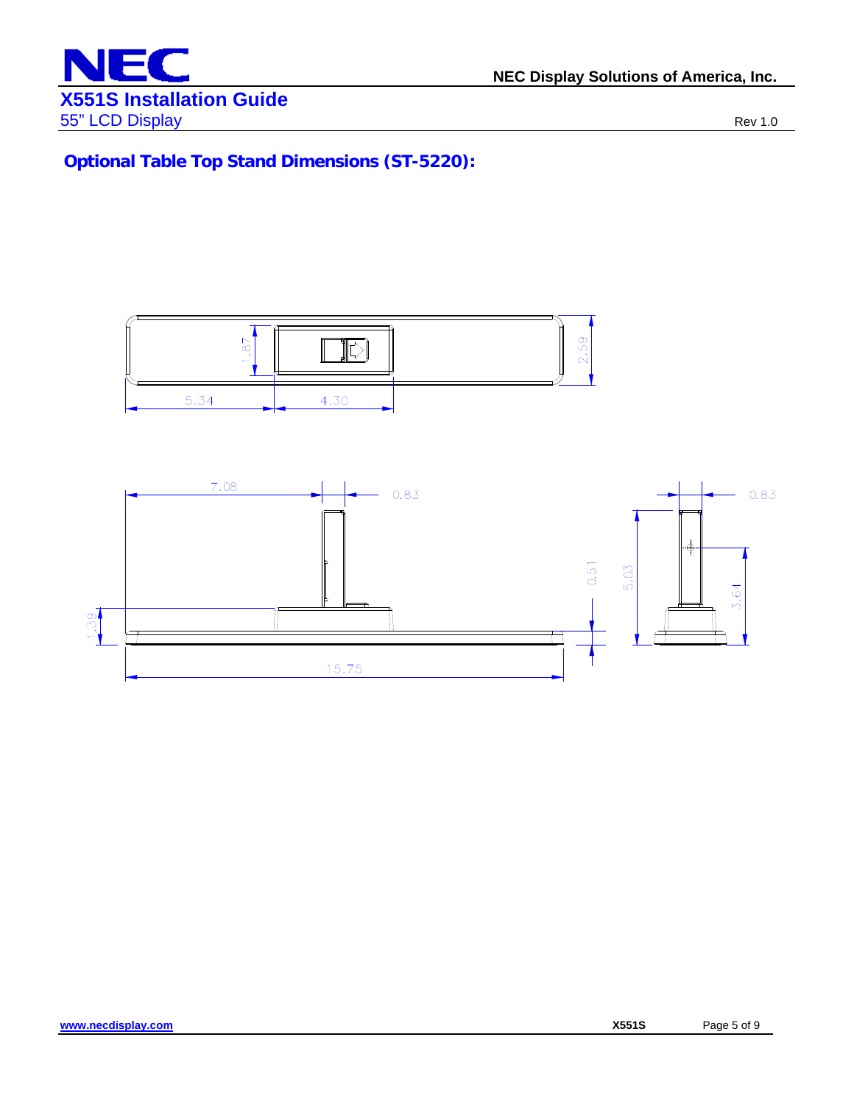

**Optional Table Top Stand Dimensions (ST-5220):** 

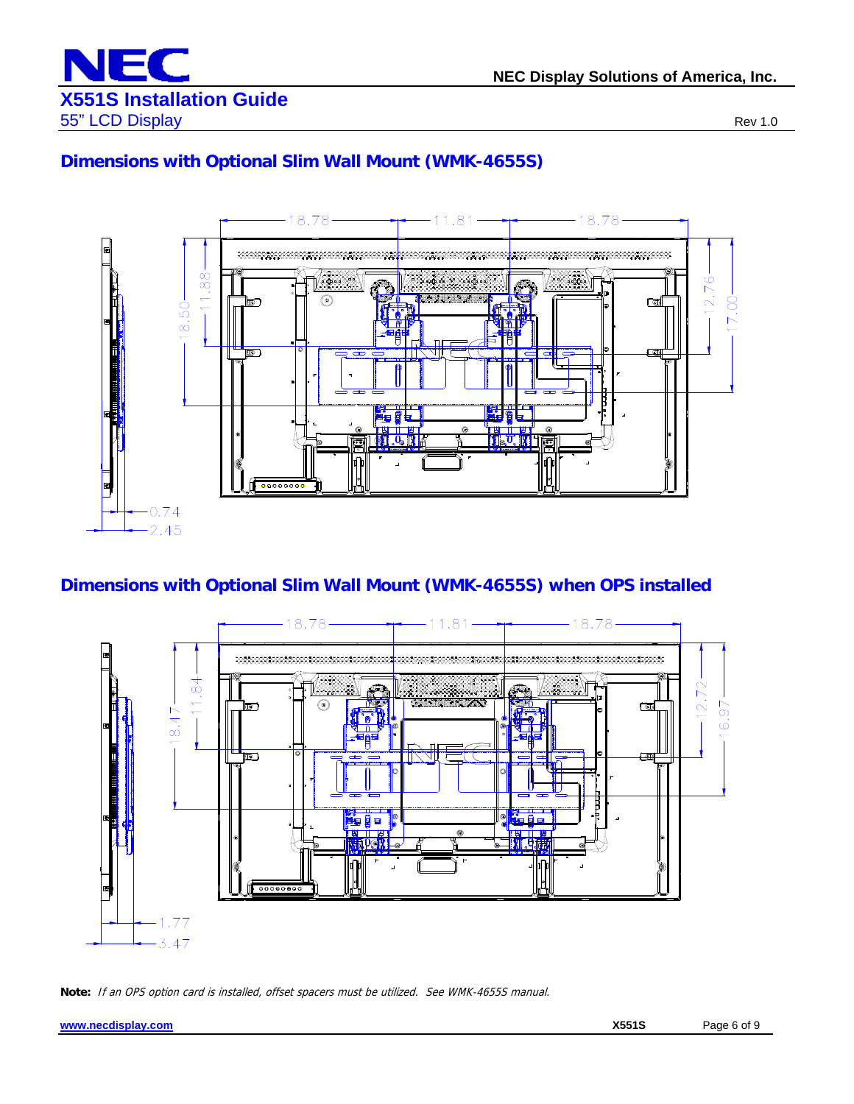

# **Dimensions with Optional Slim Wall Mount (WMK-4655S)**



# **Dimensions with Optional Slim Wall Mount (WMK-4655S) when OPS installed**



**Note:** If an OPS option card is installed, offset spacers must be utilized. See WMK-4655S manual.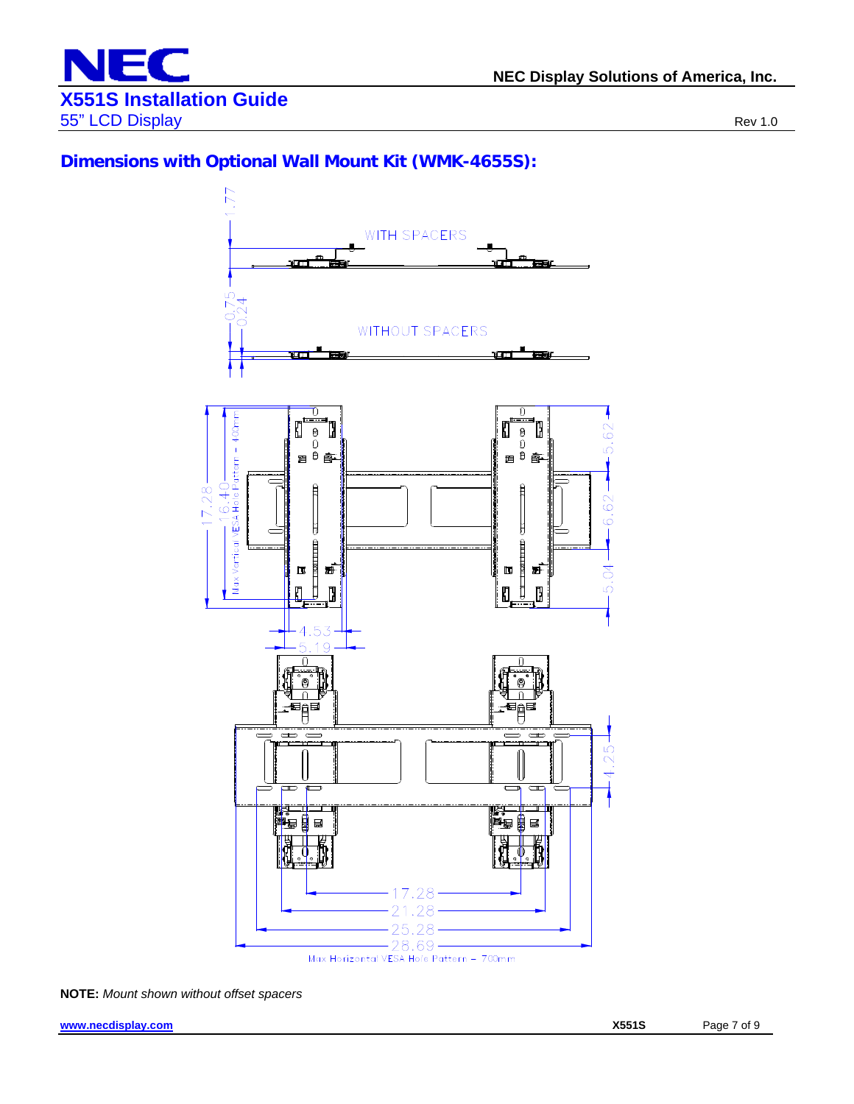

#### **Dimensions with Optional Wall Mount Kit (WMK-4655S):**



**NOTE:** *Mount shown without offset spacers*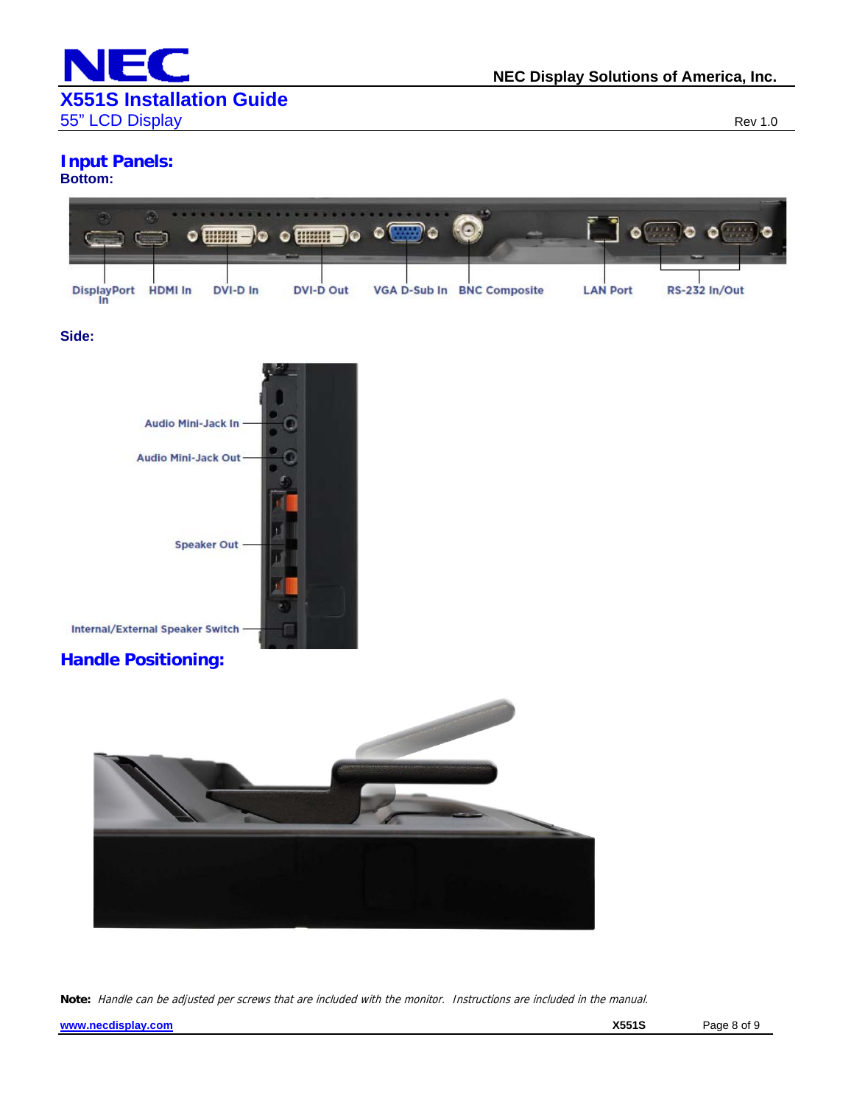

# **Input Panels:**

#### **Bottom:**



#### **Side:**



#### **Handle Positioning:**



**Note:** Handle can be adjusted per screws that are included with the monitor. Instructions are included in the manual.